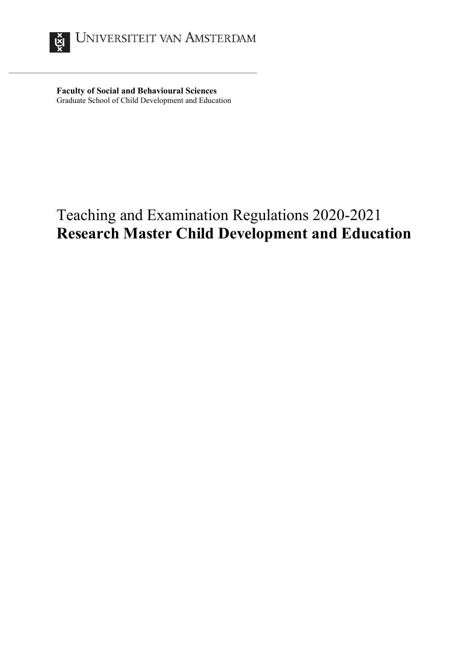

**Faculty of Social and Behavioural Sciences** Graduate School of Child Development and Education

# Teaching and Examination Regulations 2020-2021 **Research Master Child Development and Education**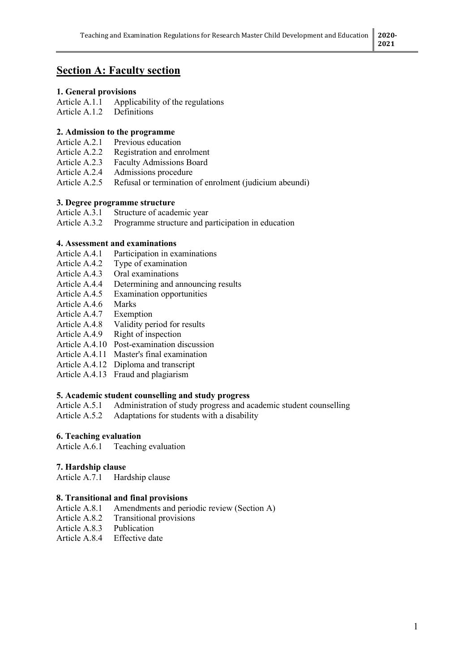# **Section A: Faculty section**

# **1. General provisions**

Applicability of the regulations

Article A.1.2 Definitions

# **2. Admission to the programme**

- Article A.2.1 Previous education
- Article A.2.2 Registration and enrolment<br>Article A.2.3 Faculty Admissions Board
- Faculty Admissions Board
- Article A.2.4 Admissions procedure
- Article A.2.5 Refusal or termination of enrolment (judicium abeundi)

# **3. Degree programme structure**

- Article A.3.1 Structure of academic year<br>Article A.3.2 Programme structure and pa
- Programme structure and participation in education

# **4. Assessment and examinations**

- Article A.4.1 Participation in examinations
- Article A.4.2 Type of examination
- Article A.4.3 Oral examinations
- Article A.4.4 Determining and announcing results
- Article A.4.5 Examination opportunities
- Article A.4.6 Marks
- Article A.4.7 Exemption
- Article A.4.8 Validity period for results
- Article A.4.9 Right of inspection
- Article A.4.10 Post-examination discussion
- Article A.4.11 Master's final examination
- Article A.4.12 Diploma and transcript
- Article A.4.13 Fraud and plagiarism

# **5. Academic student counselling and study progress**

Administration of study progress and academic student counselling

Article A.5.2 Adaptations for students with a disability

# **6. Teaching evaluation**

Article A.6.1 Teaching evaluation

### **7. Hardship clause**

Article A.7.1 Hardship clause

# **8. Transitional and final provisions**

- Article A.8.1 Amendments and periodic review (Section A)
- Article A.8.2 Transitional provisions
- Article A.8.3 Publication<br>Article A.8.4 Effective date
- Article  $A.8.4$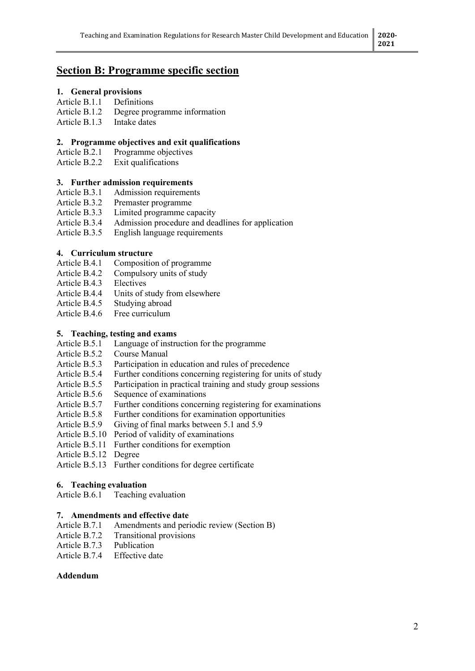# **Section B: Programme specific section**

# **1. General provisions**

- Article B.1.1
- Article B.1.2 Degree programme information
- Article B.1.3 Intake dates

# **2. Programme objectives and exit qualifications**

- Article B.2.1 Programme objectives<br>Article B.2.2 Exit qualifications
- Exit qualifications

# **3. Further admission requirements**

- Article B.3.1 Admission requirements
- Article B.3.2 Premaster programme
- Article B.3.3 Limited programme capacity
- Article B.3.4 Admission procedure and deadlines for application
- Article B.3.5 English language requirements

# **4. Curriculum structure**

- Article B.4.1 Composition of programme
- Article B.4.2 Compulsory units of study
- Article B.4.3 Electives
- Article B.4.4 Units of study from elsewhere
- Article B.4.5 Studying abroad
- Article B.4.6 Free curriculum

# **5. Teaching, testing and exams**

- Article B.5.1 Language of instruction for the programme
- Article B.5.2 Course Manual
- Article B.5.3 Participation in education and rules of precedence
- Article B.5.4 Further conditions concerning registering for units of study
- Article B.5.5 Participation in practical training and study group sessions
- Article B.5.6 Sequence of examinations
- Article B.5.7 Further conditions concerning registering for examinations
- Article B.5.8 Further conditions for examination opportunities
- Article B.5.9 Giving of final marks between 5.1 and 5.9
- Article B.5.10 Period of validity of examinations
- Article B.5.11 Further conditions for exemption
- Article B.5.12 Degree
- Article B.5.13 Further conditions for degree certificate

# **6. Teaching evaluation**

Article B.6.1 Teaching evaluation

# **7. Amendments and effective date**

- Article B.7.1 Amendments and periodic review (Section B)
- Article B.7.2 Transitional provisions<br>Article B.7.3 Publication
- Article  $B.7.3$
- Article B.7.4 Effective date

# **Addendum**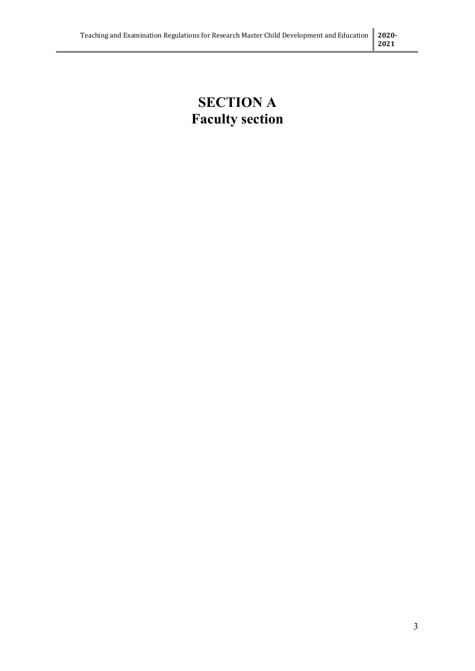# **SECTION A Faculty section**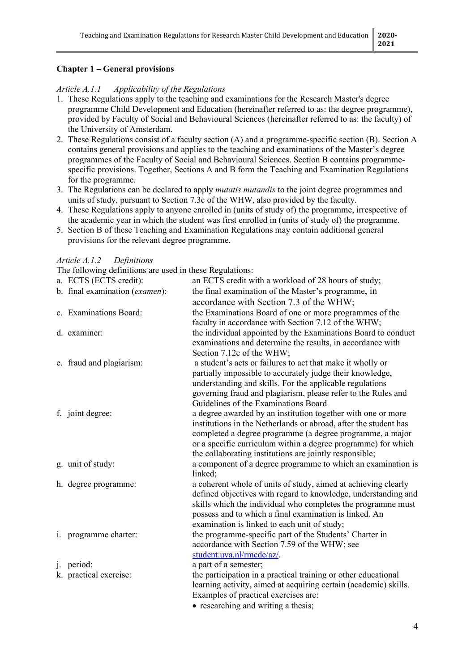# **Chapter 1 – General provisions**

# *Article A.1.1 Applicability of the Regulations*

- 1. These Regulations apply to the teaching and examinations for the Research Master's degree programme Child Development and Education (hereinafter referred to as: the degree programme), provided by Faculty of Social and Behavioural Sciences (hereinafter referred to as: the faculty) of the University of Amsterdam.
- 2. These Regulations consist of a faculty section (A) and a programme-specific section (B). Section A contains general provisions and applies to the teaching and examinations of the Master's degree programmes of the Faculty of Social and Behavioural Sciences. Section B contains programmespecific provisions. Together, Sections A and B form the Teaching and Examination Regulations for the programme.
- 3. The Regulations can be declared to apply *mutatis mutandis* to the joint degree programmes and units of study, pursuant to Section 7.3c of the WHW, also provided by the faculty.
- 4. These Regulations apply to anyone enrolled in (units of study of) the programme, irrespective of the academic year in which the student was first enrolled in (units of study of) the programme.
- 5. Section B of these Teaching and Examination Regulations may contain additional general provisions for the relevant degree programme.

### *Article A.1.2 Definitions*

The following definitions are used in these Regulations:

|    | The following definitions are used in these Regulations. |                                                                                                                                                                                                                                                                        |
|----|----------------------------------------------------------|------------------------------------------------------------------------------------------------------------------------------------------------------------------------------------------------------------------------------------------------------------------------|
|    | a. ECTS (ECTS credit):                                   | an ECTS credit with a workload of 28 hours of study;                                                                                                                                                                                                                   |
|    | b. final examination (examen):                           | the final examination of the Master's programme, in                                                                                                                                                                                                                    |
|    |                                                          | accordance with Section 7.3 of the WHW;                                                                                                                                                                                                                                |
|    | c. Examinations Board:                                   | the Examinations Board of one or more programmes of the                                                                                                                                                                                                                |
|    |                                                          | faculty in accordance with Section 7.12 of the WHW;                                                                                                                                                                                                                    |
|    | d. examiner:                                             | the individual appointed by the Examinations Board to conduct                                                                                                                                                                                                          |
|    |                                                          | examinations and determine the results, in accordance with                                                                                                                                                                                                             |
|    |                                                          | Section 7.12c of the WHW;                                                                                                                                                                                                                                              |
|    | e. fraud and plagiarism:                                 | a student's acts or failures to act that make it wholly or                                                                                                                                                                                                             |
|    |                                                          | partially impossible to accurately judge their knowledge,                                                                                                                                                                                                              |
|    |                                                          | understanding and skills. For the applicable regulations                                                                                                                                                                                                               |
|    |                                                          | governing fraud and plagiarism, please refer to the Rules and                                                                                                                                                                                                          |
|    |                                                          | Guidelines of the Examinations Board                                                                                                                                                                                                                                   |
|    | f. joint degree:                                         | a degree awarded by an institution together with one or more                                                                                                                                                                                                           |
|    |                                                          | institutions in the Netherlands or abroad, after the student has                                                                                                                                                                                                       |
|    |                                                          | completed a degree programme (a degree programme, a major                                                                                                                                                                                                              |
|    |                                                          | or a specific curriculum within a degree programme) for which                                                                                                                                                                                                          |
|    |                                                          | the collaborating institutions are jointly responsible;                                                                                                                                                                                                                |
|    | g. unit of study:                                        | a component of a degree programme to which an examination is                                                                                                                                                                                                           |
|    |                                                          | linked;                                                                                                                                                                                                                                                                |
|    | h. degree programme:                                     | a coherent whole of units of study, aimed at achieving clearly                                                                                                                                                                                                         |
|    |                                                          | defined objectives with regard to knowledge, understanding and                                                                                                                                                                                                         |
|    |                                                          | skills which the individual who completes the programme must                                                                                                                                                                                                           |
|    |                                                          | possess and to which a final examination is linked. An                                                                                                                                                                                                                 |
|    |                                                          | examination is linked to each unit of study;                                                                                                                                                                                                                           |
|    | i. programme charter:                                    | the programme-specific part of the Students' Charter in                                                                                                                                                                                                                |
|    |                                                          | accordance with Section 7.59 of the WHW; see                                                                                                                                                                                                                           |
|    |                                                          | student.uva.nl/rmcde/az/.                                                                                                                                                                                                                                              |
| 1. | period:                                                  | a part of a semester;                                                                                                                                                                                                                                                  |
|    | k. practical exercise:                                   | the participation in a practical training or other educational                                                                                                                                                                                                         |
|    |                                                          | learning activity, aimed at acquiring certain (academic) skills.                                                                                                                                                                                                       |
|    |                                                          | Examples of practical exercises are:<br>the state of the state of the state of the state of the state of the state of the state of the state of the state of the state of the state of the state of the state of the state of the state of the state of the state of t |

• researching and writing a thesis;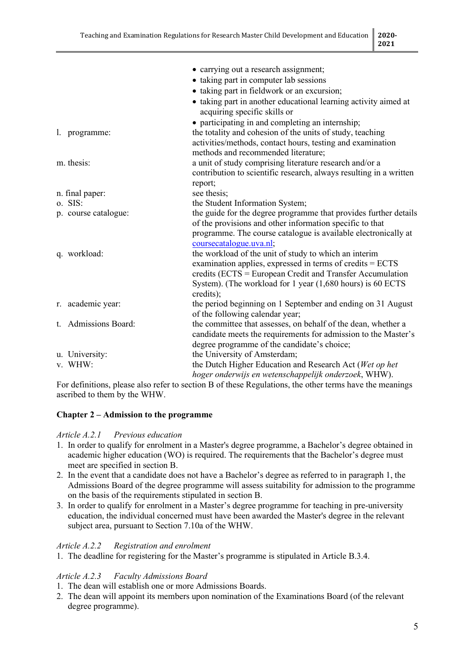|                      | • carrying out a research assignment;                                                           |
|----------------------|-------------------------------------------------------------------------------------------------|
|                      |                                                                                                 |
|                      | • taking part in computer lab sessions                                                          |
|                      | • taking part in fieldwork or an excursion;                                                     |
|                      | • taking part in another educational learning activity aimed at<br>acquiring specific skills or |
|                      | • participating in and completing an internship;                                                |
| l. programme:        | the totality and cohesion of the units of study, teaching                                       |
|                      | activities/methods, contact hours, testing and examination                                      |
|                      | methods and recommended literature;                                                             |
| m. thesis:           | a unit of study comprising literature research and/or a                                         |
|                      | contribution to scientific research, always resulting in a written                              |
|                      | report;                                                                                         |
| n. final paper:      | see thesis;                                                                                     |
| o. SIS:              | the Student Information System;                                                                 |
| p. course catalogue: | the guide for the degree programme that provides further details                                |
|                      | of the provisions and other information specific to that                                        |
|                      | programme. The course catalogue is available electronically at                                  |
|                      | coursecatalogue.uva.nl;                                                                         |
| q. workload:         | the workload of the unit of study to which an interim                                           |
|                      | examination applies, expressed in terms of credits = ECTS                                       |
|                      |                                                                                                 |
|                      | credits (ECTS = European Credit and Transfer Accumulation                                       |
|                      | System). (The workload for 1 year (1,680 hours) is 60 ECTS                                      |
|                      | credits);                                                                                       |
| r. academic year:    | the period beginning on 1 September and ending on 31 August                                     |
|                      | of the following calendar year;                                                                 |
| t. Admissions Board: | the committee that assesses, on behalf of the dean, whether a                                   |
|                      | candidate meets the requirements for admission to the Master's                                  |
|                      | degree programme of the candidate's choice;                                                     |
| u. University:       | the University of Amsterdam;                                                                    |
| v. WHW:              | the Dutch Higher Education and Research Act (Wet op het                                         |
|                      | hoger onderwijs en wetenschappelijk onderzoek, WHW).                                            |

For definitions, please also refer to section B of these Regulations, the other terms have the meanings ascribed to them by the WHW.

# **Chapter 2 – Admission to the programme**

# *Article A.2.1 Previous education*

- 1. In order to qualify for enrolment in a Master's degree programme, a Bachelor's degree obtained in academic higher education (WO) is required. The requirements that the Bachelor's degree must meet are specified in section B.
- 2. In the event that a candidate does not have a Bachelor's degree as referred to in paragraph 1, the Admissions Board of the degree programme will assess suitability for admission to the programme on the basis of the requirements stipulated in section B.
- 3. In order to qualify for enrolment in a Master's degree programme for teaching in pre-university education, the individual concerned must have been awarded the Master's degree in the relevant subject area, pursuant to Section 7.10a of the WHW.

# *Article A.2.2 Registration and enrolment*

1. The deadline for registering for the Master's programme is stipulated in Article B.3.4.

# *Article A.2.3 Faculty Admissions Board*

- 1. The dean will establish one or more Admissions Boards.
- 2. The dean will appoint its members upon nomination of the Examinations Board (of the relevant degree programme).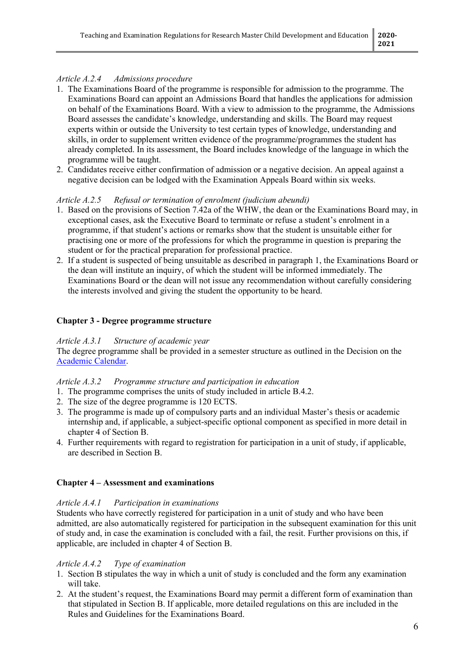# *Article A.2.4 Admissions procedure*

- 1. The Examinations Board of the programme is responsible for admission to the programme. The Examinations Board can appoint an Admissions Board that handles the applications for admission on behalf of the Examinations Board. With a view to admission to the programme, the Admissions Board assesses the candidate's knowledge, understanding and skills. The Board may request experts within or outside the University to test certain types of knowledge, understanding and skills, in order to supplement written evidence of the programme/programmes the student has already completed. In its assessment, the Board includes knowledge of the language in which the programme will be taught.
- 2. Candidates receive either confirmation of admission or a negative decision. An appeal against a negative decision can be lodged with the Examination Appeals Board within six weeks.

# *Article A.2.5 Refusal or termination of enrolment (judicium abeundi)*

- 1. Based on the provisions of Section 7.42a of the WHW, the dean or the Examinations Board may, in exceptional cases, ask the Executive Board to terminate or refuse a student's enrolment in a programme, if that student's actions or remarks show that the student is unsuitable either for practising one or more of the professions for which the programme in question is preparing the student or for the practical preparation for professional practice.
- 2. If a student is suspected of being unsuitable as described in paragraph 1, the Examinations Board or the dean will institute an inquiry, of which the student will be informed immediately. The Examinations Board or the dean will not issue any recommendation without carefully considering the interests involved and giving the student the opportunity to be heard.

# **Chapter 3 - Degree programme structure**

# *Article A.3.1 Structure of academic year*

The degree programme shall be provided in a semester structure as outlined in the Decision on the [Academic Calendar.](http://www.uva.nl/binaries/content/assets/uva/nl/over-de-uva/over-de-uva/regelingen-en-regelementen/onderwijs/besluit-jaarindeling-onderwijs-2017-2024.pdf)

*Article A.3.2 Programme structure and participation in education*

- 1. The programme comprises the units of study included in article B.4.2.
- 2. The size of the degree programme is 120 ECTS.
- 3. The programme is made up of compulsory parts and an individual Master's thesis or academic internship and, if applicable, a subject-specific optional component as specified in more detail in chapter 4 of Section B.
- 4. Further requirements with regard to registration for participation in a unit of study, if applicable, are described in Section B.

# **Chapter 4 – Assessment and examinations**

# *Article A.4.1 Participation in examinations*

Students who have correctly registered for participation in a unit of study and who have been admitted, are also automatically registered for participation in the subsequent examination for this unit of study and, in case the examination is concluded with a fail, the resit. Further provisions on this, if applicable, are included in chapter 4 of Section B.

# *Article A.4.2 Type of examination*

- 1. Section B stipulates the way in which a unit of study is concluded and the form any examination will take.
- 2. At the student's request, the Examinations Board may permit a different form of examination than that stipulated in Section B. If applicable, more detailed regulations on this are included in the Rules and Guidelines for the Examinations Board.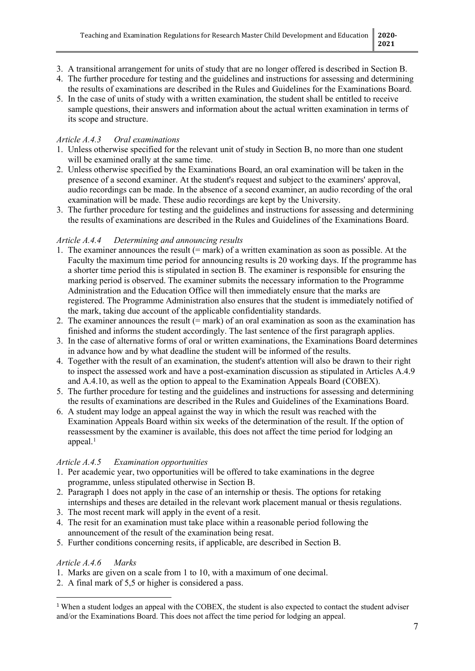- 3. A transitional arrangement for units of study that are no longer offered is described in Section B.
- 4. The further procedure for testing and the guidelines and instructions for assessing and determining the results of examinations are described in the Rules and Guidelines for the Examinations Board.
- 5. In the case of units of study with a written examination, the student shall be entitled to receive sample questions, their answers and information about the actual written examination in terms of its scope and structure.

# *Article A.4.3 Oral examinations*

- 1. Unless otherwise specified for the relevant unit of study in Section B, no more than one student will be examined orally at the same time.
- 2. Unless otherwise specified by the Examinations Board, an oral examination will be taken in the presence of a second examiner. At the student's request and subject to the examiners' approval, audio recordings can be made. In the absence of a second examiner, an audio recording of the oral examination will be made. These audio recordings are kept by the University.
- 3. The further procedure for testing and the guidelines and instructions for assessing and determining the results of examinations are described in the Rules and Guidelines of the Examinations Board.

# *Article A.4.4 Determining and announcing results*

- 1. The examiner announces the result (= mark) of a written examination as soon as possible. At the Faculty the maximum time period for announcing results is 20 working days. If the programme has a shorter time period this is stipulated in section B. The examiner is responsible for ensuring the marking period is observed. The examiner submits the necessary information to the Programme Administration and the Education Office will then immediately ensure that the marks are registered. The Programme Administration also ensures that the student is immediately notified of the mark, taking due account of the applicable confidentiality standards.
- 2. The examiner announces the result  $(=$  mark) of an oral examination as soon as the examination has finished and informs the student accordingly. The last sentence of the first paragraph applies.
- 3. In the case of alternative forms of oral or written examinations, the Examinations Board determines in advance how and by what deadline the student will be informed of the results.
- 4. Together with the result of an examination, the student's attention will also be drawn to their right to inspect the assessed work and have a post-examination discussion as stipulated in Articles A.4.9 and A.4.10, as well as the option to appeal to the Examination Appeals Board (COBEX).
- 5. The further procedure for testing and the guidelines and instructions for assessing and determining the results of examinations are described in the Rules and Guidelines of the Examinations Board.
- 6. A student may lodge an appeal against the way in which the result was reached with the Examination Appeals Board within six weeks of the determination of the result. If the option of reassessment by the examiner is available, this does not affect the time period for lodging an appeal. $<sup>1</sup>$  $<sup>1</sup>$  $<sup>1</sup>$ </sup>

# *Article A.4.5 Examination opportunities*

- 1. Per academic year, two opportunities will be offered to take examinations in the degree programme, unless stipulated otherwise in Section B.
- 2. Paragraph 1 does not apply in the case of an internship or thesis. The options for retaking internships and theses are detailed in the relevant work placement manual or thesis regulations.
- 3. The most recent mark will apply in the event of a resit.
- 4. The resit for an examination must take place within a reasonable period following the announcement of the result of the examination being resat.
- 5. Further conditions concerning resits, if applicable, are described in Section B.

# *Article A.4.6 Marks*

- 1. Marks are given on a scale from 1 to 10, with a maximum of one decimal.
- 2. A final mark of 5,5 or higher is considered a pass.

<span id="page-7-0"></span><sup>&</sup>lt;sup>1</sup> When a student lodges an appeal with the COBEX, the student is also expected to contact the student adviser and/or the Examinations Board. This does not affect the time period for lodging an appeal.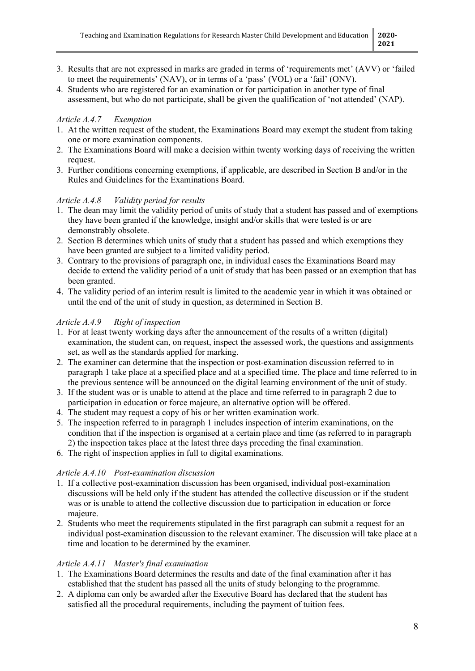- 3. Results that are not expressed in marks are graded in terms of 'requirements met' (AVV) or 'failed to meet the requirements' (NAV), or in terms of a 'pass' (VOL) or a 'fail' (ONV).
- 4. Students who are registered for an examination or for participation in another type of final assessment, but who do not participate, shall be given the qualification of 'not attended' (NAP).

# *Article A.4.7 Exemption*

- 1. At the written request of the student, the Examinations Board may exempt the student from taking one or more examination components.
- 2. The Examinations Board will make a decision within twenty working days of receiving the written request.
- 3. Further conditions concerning exemptions, if applicable, are described in Section B and/or in the Rules and Guidelines for the Examinations Board.

# *Article A.4.8 Validity period for results*

- 1. The dean may limit the validity period of units of study that a student has passed and of exemptions they have been granted if the knowledge, insight and/or skills that were tested is or are demonstrably obsolete.
- 2. Section B determines which units of study that a student has passed and which exemptions they have been granted are subject to a limited validity period.
- 3. Contrary to the provisions of paragraph one, in individual cases the Examinations Board may decide to extend the validity period of a unit of study that has been passed or an exemption that has been granted.
- 4. The validity period of an interim result is limited to the academic year in which it was obtained or until the end of the unit of study in question, as determined in Section B.

# *Article A.4.9 Right of inspection*

- 1. For at least twenty working days after the announcement of the results of a written (digital) examination, the student can, on request, inspect the assessed work, the questions and assignments set, as well as the standards applied for marking.
- 2. The examiner can determine that the inspection or post-examination discussion referred to in paragraph 1 take place at a specified place and at a specified time. The place and time referred to in the previous sentence will be announced on the digital learning environment of the unit of study.
- 3. If the student was or is unable to attend at the place and time referred to in paragraph 2 due to participation in education or force majeure, an alternative option will be offered.
- 4. The student may request a copy of his or her written examination work.
- 5. The inspection referred to in paragraph 1 includes inspection of interim examinations, on the condition that if the inspection is organised at a certain place and time (as referred to in paragraph 2) the inspection takes place at the latest three days preceding the final examination.
- 6. The right of inspection applies in full to digital examinations.

# *Article A.4.10 Post-examination discussion*

- 1. If a collective post-examination discussion has been organised, individual post-examination discussions will be held only if the student has attended the collective discussion or if the student was or is unable to attend the collective discussion due to participation in education or force majeure.
- 2. Students who meet the requirements stipulated in the first paragraph can submit a request for an individual post-examination discussion to the relevant examiner. The discussion will take place at a time and location to be determined by the examiner.

### *Article A.4.11 Master's final examination*

- 1. The Examinations Board determines the results and date of the final examination after it has established that the student has passed all the units of study belonging to the programme.
- 2. A diploma can only be awarded after the Executive Board has declared that the student has satisfied all the procedural requirements, including the payment of tuition fees.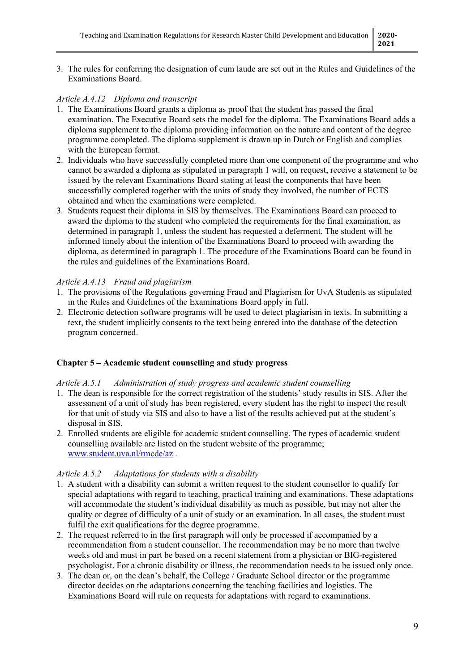3. The rules for conferring the designation of cum laude are set out in the Rules and Guidelines of the Examinations Board.

# *Article A.4.12 Diploma and transcript*

- 1. The Examinations Board grants a diploma as proof that the student has passed the final examination. The Executive Board sets the model for the diploma. The Examinations Board adds a diploma supplement to the diploma providing information on the nature and content of the degree programme completed. The diploma supplement is drawn up in Dutch or English and complies with the European format.
- 2. Individuals who have successfully completed more than one component of the programme and who cannot be awarded a diploma as stipulated in paragraph 1 will, on request, receive a statement to be issued by the relevant Examinations Board stating at least the components that have been successfully completed together with the units of study they involved, the number of ECTS obtained and when the examinations were completed.
- 3. Students request their diploma in SIS by themselves. The Examinations Board can proceed to award the diploma to the student who completed the requirements for the final examination, as determined in paragraph 1, unless the student has requested a deferment. The student will be informed timely about the intention of the Examinations Board to proceed with awarding the diploma, as determined in paragraph 1. The procedure of the Examinations Board can be found in the rules and guidelines of the Examinations Board.

# *Article A.4.13 Fraud and plagiarism*

- 1. The provisions of the Regulations governing Fraud and Plagiarism for UvA Students as stipulated in the Rules and Guidelines of the Examinations Board apply in full.
- 2. Electronic detection software programs will be used to detect plagiarism in texts. In submitting a text, the student implicitly consents to the text being entered into the database of the detection program concerned.

# **Chapter 5 – Academic student counselling and study progress**

### *Article A.5.1 Administration of study progress and academic student counselling*

- 1. The dean is responsible for the correct registration of the students' study results in SIS. After the assessment of a unit of study has been registered, every student has the right to inspect the result for that unit of study via SIS and also to have a list of the results achieved put at the student's disposal in SIS.
- 2. Enrolled students are eligible for academic student counselling. The types of academic student counselling available are listed on the student website of the programme; [www.student.uva.nl/rmcde/az](http://www.student.uva.nl/rmcde/az) .

### *Article A.5.2 Adaptations for students with a disability*

- 1. A student with a disability can submit a written request to the student counsellor to qualify for special adaptations with regard to teaching, practical training and examinations. These adaptations will accommodate the student's individual disability as much as possible, but may not alter the quality or degree of difficulty of a unit of study or an examination. In all cases, the student must fulfil the exit qualifications for the degree programme.
- 2. The request referred to in the first paragraph will only be processed if accompanied by a recommendation from a student counsellor. The recommendation may be no more than twelve weeks old and must in part be based on a recent statement from a physician or BIG-registered psychologist. For a chronic disability or illness, the recommendation needs to be issued only once.
- 3. The dean or, on the dean's behalf, the College / Graduate School director or the programme director decides on the adaptations concerning the teaching facilities and logistics. The Examinations Board will rule on requests for adaptations with regard to examinations.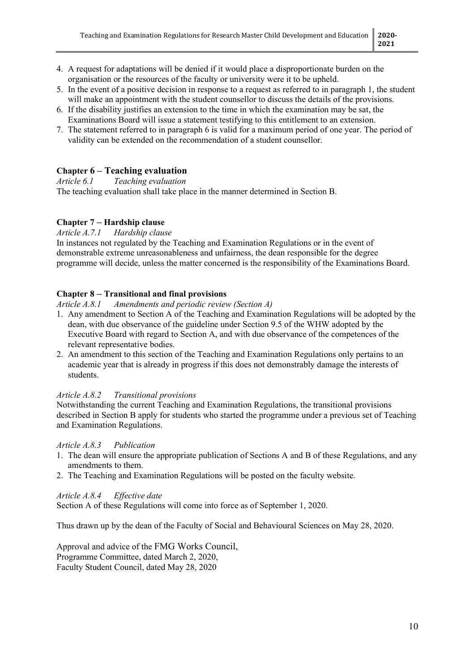- 4. A request for adaptations will be denied if it would place a disproportionate burden on the organisation or the resources of the faculty or university were it to be upheld.
- 5. In the event of a positive decision in response to a request as referred to in paragraph 1, the student will make an appointment with the student counsellor to discuss the details of the provisions.
- 6. If the disability justifies an extension to the time in which the examination may be sat, the Examinations Board will issue a statement testifying to this entitlement to an extension.
- 7. The statement referred to in paragraph 6 is valid for a maximum period of one year. The period of validity can be extended on the recommendation of a student counsellor.

# **Chapter 6 – Teaching evaluation**

```
Article 6.1 Teaching evaluation
```
The teaching evaluation shall take place in the manner determined in Section B.

# **Chapter 7 – Hardship clause**

### *Article A.7.1 Hardship clause*

In instances not regulated by the Teaching and Examination Regulations or in the event of demonstrable extreme unreasonableness and unfairness, the dean responsible for the degree programme will decide, unless the matter concerned is the responsibility of the Examinations Board.

# **Chapter 8 – Transitional and final provisions**

*Article A.8.1 Amendments and periodic review (Section A)*

- 1. Any amendment to Section A of the Teaching and Examination Regulations will be adopted by the dean, with due observance of the guideline under Section 9.5 of the WHW adopted by the Executive Board with regard to Section A, and with due observance of the competences of the relevant representative bodies.
- 2. An amendment to this section of the Teaching and Examination Regulations only pertains to an academic year that is already in progress if this does not demonstrably damage the interests of students.

### *Article A.8.2 Transitional provisions*

Notwithstanding the current Teaching and Examination Regulations, the transitional provisions described in Section B apply for students who started the programme under a previous set of Teaching and Examination Regulations.

### *Article A.8.3 Publication*

- 1. The dean will ensure the appropriate publication of Sections A and B of these Regulations, and any amendments to them.
- 2. The Teaching and Examination Regulations will be posted on the faculty website.

### *Article A.8.4 Effective date*

Section A of these Regulations will come into force as of September 1, 2020.

Thus drawn up by the dean of the Faculty of Social and Behavioural Sciences on May 28, 2020.

Approval and advice of the FMG Works Council, Programme Committee, dated March 2, 2020, Faculty Student Council, dated May 28, 2020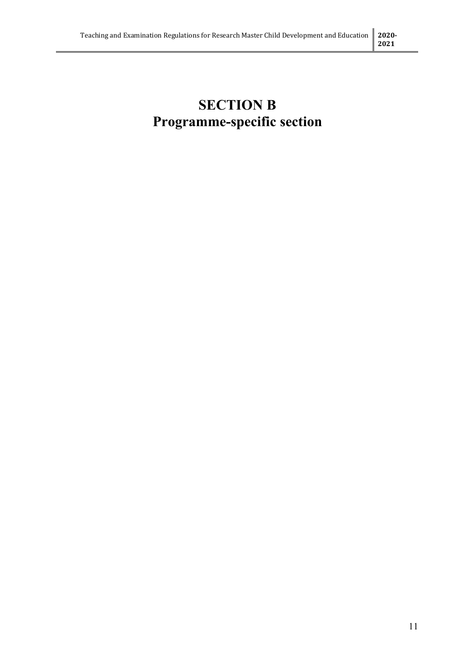# **SECTION B Programme-specific section**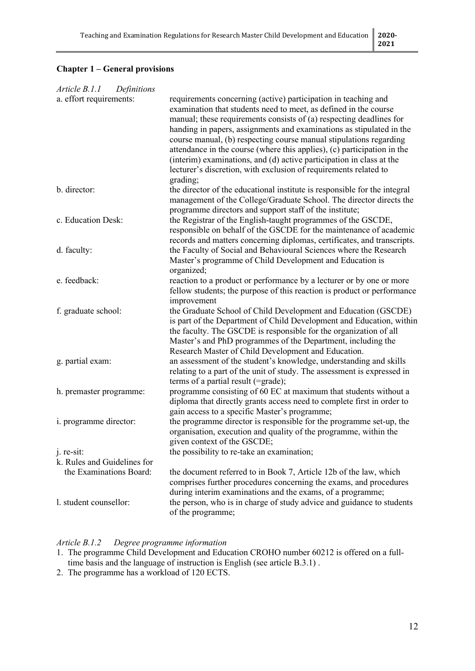# **Chapter 1 – General provisions**

| Article B.1.1<br>Definitions |                                                                                                                                                                                                                                                                                                                                                                                                                                                                                                                                                                                              |
|------------------------------|----------------------------------------------------------------------------------------------------------------------------------------------------------------------------------------------------------------------------------------------------------------------------------------------------------------------------------------------------------------------------------------------------------------------------------------------------------------------------------------------------------------------------------------------------------------------------------------------|
| a. effort requirements:      | requirements concerning (active) participation in teaching and<br>examination that students need to meet, as defined in the course<br>manual; these requirements consists of $(a)$ respecting deadlines for<br>handing in papers, assignments and examinations as stipulated in the<br>course manual, (b) respecting course manual stipulations regarding<br>attendance in the course (where this applies), (c) participation in the<br>(interim) examinations, and (d) active participation in class at the<br>lecturer's discretion, with exclusion of requirements related to<br>grading; |
| b. director:                 | the director of the educational institute is responsible for the integral<br>management of the College/Graduate School. The director directs the<br>programme directors and support staff of the institute;                                                                                                                                                                                                                                                                                                                                                                                  |
| c. Education Desk:           | the Registrar of the English-taught programmes of the GSCDE,<br>responsible on behalf of the GSCDE for the maintenance of academic<br>records and matters concerning diplomas, certificates, and transcripts.                                                                                                                                                                                                                                                                                                                                                                                |
| d. faculty:                  | the Faculty of Social and Behavioural Sciences where the Research<br>Master's programme of Child Development and Education is<br>organized;                                                                                                                                                                                                                                                                                                                                                                                                                                                  |
| e. feedback:                 | reaction to a product or performance by a lecturer or by one or more<br>fellow students; the purpose of this reaction is product or performance<br>improvement                                                                                                                                                                                                                                                                                                                                                                                                                               |
| f. graduate school:          | the Graduate School of Child Development and Education (GSCDE)<br>is part of the Department of Child Development and Education, within<br>the faculty. The GSCDE is responsible for the organization of all<br>Master's and PhD programmes of the Department, including the<br>Research Master of Child Development and Education.                                                                                                                                                                                                                                                           |
| g. partial exam:             | an assessment of the student's knowledge, understanding and skills<br>relating to a part of the unit of study. The assessment is expressed in<br>terms of a partial result (=grade);                                                                                                                                                                                                                                                                                                                                                                                                         |
| h. premaster programme:      | programme consisting of 60 EC at maximum that students without a<br>diploma that directly grants access need to complete first in order to<br>gain access to a specific Master's programme;                                                                                                                                                                                                                                                                                                                                                                                                  |
| i. programme director:       | the programme director is responsible for the programme set-up, the<br>organisation, execution and quality of the programme, within the<br>given context of the GSCDE;                                                                                                                                                                                                                                                                                                                                                                                                                       |
| j. re-sit:                   | the possibility to re-take an examination;                                                                                                                                                                                                                                                                                                                                                                                                                                                                                                                                                   |
| k. Rules and Guidelines for  |                                                                                                                                                                                                                                                                                                                                                                                                                                                                                                                                                                                              |
| the Examinations Board:      | the document referred to in Book 7, Article 12b of the law, which<br>comprises further procedures concerning the exams, and procedures<br>during interim examinations and the exams, of a programme;                                                                                                                                                                                                                                                                                                                                                                                         |
| l. student counsellor:       | the person, who is in charge of study advice and guidance to students<br>of the programme;                                                                                                                                                                                                                                                                                                                                                                                                                                                                                                   |

# *Article B.1.2 Degree programme information*

- 1. The programme Child Development and Education CROHO number 60212 is offered on a fulltime basis and the language of instruction is English (see article B.3.1) .
- 2. The programme has a workload of 120 ECTS.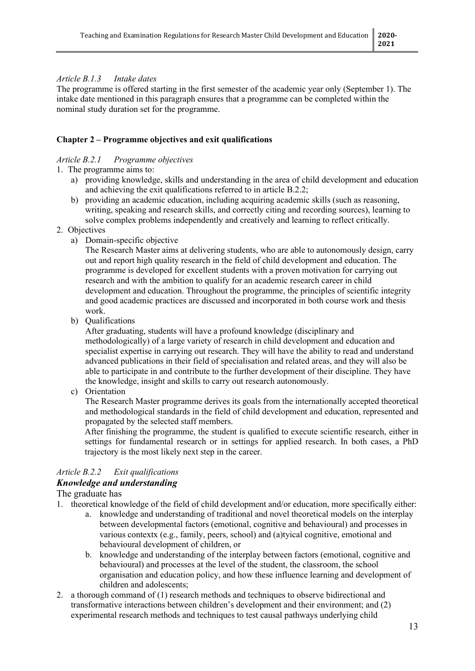# *Article B.1.3 Intake dates*

The programme is offered starting in the first semester of the academic year only (September 1). The intake date mentioned in this paragraph ensures that a programme can be completed within the nominal study duration set for the programme.

# **Chapter 2 – Programme objectives and exit qualifications**

# *Article B.2.1 Programme objectives*

- 1. The programme aims to:
	- a) providing knowledge, skills and understanding in the area of child development and education and achieving the exit qualifications referred to in article B.2.2;
	- b) providing an academic education, including acquiring academic skills (such as reasoning, writing, speaking and research skills, and correctly citing and recording sources), learning to solve complex problems independently and creatively and learning to reflect critically.
- 2. Objectives
	- a) Domain-specific objective

The Research Master aims at delivering students, who are able to autonomously design, carry out and report high quality research in the field of child development and education. The programme is developed for excellent students with a proven motivation for carrying out research and with the ambition to qualify for an academic research career in child development and education. Throughout the programme, the principles of scientific integrity and good academic practices are discussed and incorporated in both course work and thesis work.

b) Qualifications

After graduating, students will have a profound knowledge (disciplinary and methodologically) of a large variety of research in child development and education and specialist expertise in carrying out research. They will have the ability to read and understand advanced publications in their field of specialisation and related areas, and they will also be able to participate in and contribute to the further development of their discipline. They have the knowledge, insight and skills to carry out research autonomously.

c) Orientation

The Research Master programme derives its goals from the internationally accepted theoretical and methodological standards in the field of child development and education, represented and propagated by the selected staff members.

After finishing the programme, the student is qualified to execute scientific research, either in settings for fundamental research or in settings for applied research. In both cases, a PhD trajectory is the most likely next step in the career.

### *Article B.2.2 Exit qualifications Knowledge and understanding*

The graduate has

- 1. theoretical knowledge of the field of child development and/or education, more specifically either:
	- a. knowledge and understanding of traditional and novel theoretical models on the interplay between developmental factors (emotional, cognitive and behavioural) and processes in various contextx (e.g., family, peers, school) and (a)tyical cognitive, emotional and behavioural development of children, or
	- b. knowledge and understanding of the interplay between factors (emotional, cognitive and behavioural) and processes at the level of the student, the classroom, the school organisation and education policy, and how these influence learning and development of children and adolescents;
- 2. a thorough command of (1) research methods and techniques to observe bidirectional and transformative interactions between children's development and their environment; and (2) experimental research methods and techniques to test causal pathways underlying child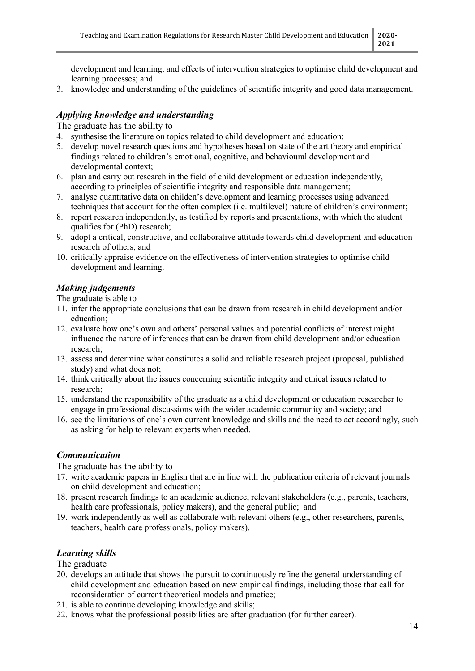development and learning, and effects of intervention strategies to optimise child development and learning processes; and

3. knowledge and understanding of the guidelines of scientific integrity and good data management.

# *Applying knowledge and understanding*

The graduate has the ability to

- 4. synthesise the literature on topics related to child development and education;
- 5. develop novel research questions and hypotheses based on state of the art theory and empirical findings related to children's emotional, cognitive, and behavioural development and developmental context;
- 6. plan and carry out research in the field of child development or education independently, according to principles of scientific integrity and responsible data management;
- 7. analyse quantitative data on childen's development and learning processes using advanced techniques that account for the often complex (i.e. multilevel) nature of children's environment;
- 8. report research independently, as testified by reports and presentations, with which the student qualifies for (PhD) research;
- 9. adopt a critical, constructive, and collaborative attitude towards child development and education research of others; and
- 10. critically appraise evidence on the effectiveness of intervention strategies to optimise child development and learning.

# *Making judgements*

The graduate is able to

- 11. infer the appropriate conclusions that can be drawn from research in child development and/or education;
- 12. evaluate how one's own and others' personal values and potential conflicts of interest might influence the nature of inferences that can be drawn from child development and/or education research;
- 13. assess and determine what constitutes a solid and reliable research project (proposal, published study) and what does not;
- 14. think critically about the issues concerning scientific integrity and ethical issues related to research;
- 15. understand the responsibility of the graduate as a child development or education researcher to engage in professional discussions with the wider academic community and society; and
- 16. see the limitations of one's own current knowledge and skills and the need to act accordingly, such as asking for help to relevant experts when needed.

# *Communication*

The graduate has the ability to

- 17. write academic papers in English that are in line with the publication criteria of relevant journals on child development and education;
- 18. present research findings to an academic audience, relevant stakeholders (e.g., parents, teachers, health care professionals, policy makers), and the general public; and
- 19. work independently as well as collaborate with relevant others (e.g., other researchers, parents, teachers, health care professionals, policy makers).

# *Learning skills*

The graduate

- 20. develops an attitude that shows the pursuit to continuously refine the general understanding of child development and education based on new empirical findings, including those that call for reconsideration of current theoretical models and practice;
- 21. is able to continue developing knowledge and skills;
- 22. knows what the professional possibilities are after graduation (for further career).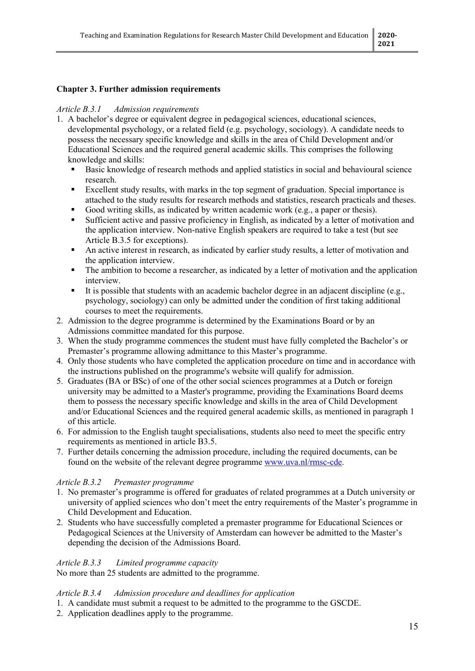# **Chapter 3. Further admission requirements**

### *Article B.3.1 Admission requirements*

- 1. A bachelor's degree or equivalent degree in pedagogical sciences, educational sciences, developmental psychology, or a related field (e.g. psychology, sociology). A candidate needs to possess the necessary specific knowledge and skills in the area of Child Development and/or Educational Sciences and the required general academic skills. This comprises the following knowledge and skills:
	- Basic knowledge of research methods and applied statistics in social and behavioural science research.
	- Excellent study results, with marks in the top segment of graduation. Special importance is attached to the study results for research methods and statistics, research practicals and theses.
	- Good writing skills, as indicated by written academic work (e.g., a paper or thesis).
	- Sufficient active and passive proficiency in English, as indicated by a letter of motivation and the application interview. Non-native English speakers are required to take a test (but see Article B.3.5 for exceptions).
	- An active interest in research, as indicated by earlier study results, a letter of motivation and the application interview.
	- The ambition to become a researcher, as indicated by a letter of motivation and the application interview.
	- It is possible that students with an academic bachelor degree in an adjacent discipline (e.g., psychology, sociology) can only be admitted under the condition of first taking additional courses to meet the requirements.
- 2. Admission to the degree programme is determined by the Examinations Board or by an Admissions committee mandated for this purpose.
- 3. When the study programme commences the student must have fully completed the Bachelor's or Premaster's programme allowing admittance to this Master's programme.
- 4. Only those students who have completed the application procedure on time and in accordance with the instructions published on the programme's website will qualify for admission.
- 5. Graduates (BA or BSc) of one of the other social sciences programmes at a Dutch or foreign university may be admitted to a Master's programme, providing the Examinations Board deems them to possess the necessary specific knowledge and skills in the area of Child Development and/or Educational Sciences and the required general academic skills, as mentioned in paragraph 1 of this article.
- 6. For admission to the English taught specialisations, students also need to meet the specific entry requirements as mentioned in article B3.5.
- 7. Further details concerning the admission procedure, including the required documents, can be found on the website of the relevant degree programme [www.uva.nl/rmsc-cde.](http://www.uva.nl/rmsc-cde)

# *Article B.3.2 Premaster programme*

- 1. No premaster's programme is offered for graduates of related programmes at a Dutch university or university of applied sciences who don't meet the entry requirements of the Master's programme in Child Development and Education.
- 2. Students who have successfully completed a premaster programme for Educational Sciences or Pedagogical Sciences at the University of Amsterdam can however be admitted to the Master's depending the decision of the Admissions Board.

### *Article B.3.3 Limited programme capacity*

No more than 25 students are admitted to the programme.

### *Article B.3.4 Admission procedure and deadlines for application*

- 1. A candidate must submit a request to be admitted to the programme to the GSCDE.
- 2. Application deadlines apply to the programme.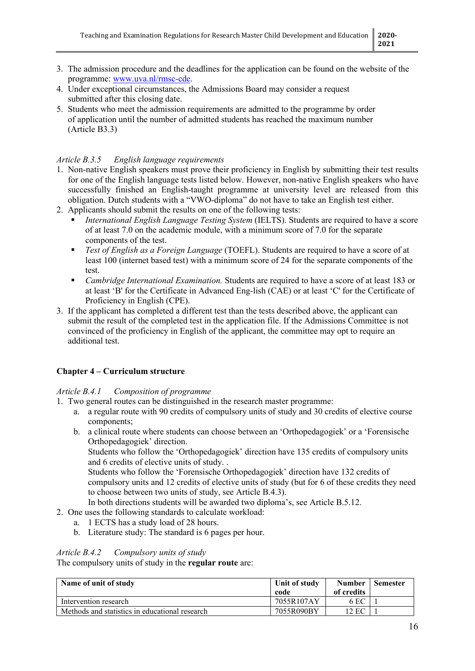- 3. The admission procedure and the deadlines for the application can be found on the website of the programme: [www.uva.nl/rmsc-cde.](http://www.uva.nl/rmsc-cde)
- 4. Under exceptional circumstances, the Admissions Board may consider a request submitted after this closing date.
- 5. Students who meet the admission requirements are admitted to the programme by order of application until the number of admitted students has reached the maximum number (Article B3.3)

# *Article B.3.5 English language requirements*

- 1. Non-native English speakers must prove their proficiency in English by submitting their test results for one of the English language tests listed below. However, non-native English speakers who have successfully finished an English-taught programme at university level are released from this obligation. Dutch students with a "VWO-diploma" do not have to take an English test either.
- 2. Applicants should submit the results on one of the following tests:
	- *International English Language Testing System* (IELTS). Students are required to have a score of at least 7.0 on the academic module, with a minimum score of 7.0 for the separate components of the test.
	- *Test of English as a Foreign Language* (TOEFL). Students are required to have a score of at least 100 (internet based test) with a minimum score of 24 for the separate components of the test.
	- *Cambridge International Examination.* Students are required to have a score of at least 183 or at least 'B' for the Certificate in Advanced Eng-lish (CAE) or at least 'C' for the Certificate of Proficiency in English (CPE).
- 3. If the applicant has completed a different test than the tests described above, the applicant can submit the result of the completed test in the application file. If the Admissions Committee is not convinced of the proficiency in English of the applicant, the committee may opt to require an additional test.

# **Chapter 4 – Curriculum structure**

# *Article B.4.1 Composition of programme*

- 1. Two general routes can be distinguished in the research master programme:
	- a. a regular route with 90 credits of compulsory units of study and 30 credits of elective course components;
	- b. a clinical route where students can choose between an 'Orthopedagogiek' or a 'Forensische Orthopedagogiek' direction.

Students who follow the 'Orthopedagogiek' direction have 135 credits of compulsory units and 6 credits of elective units of study. .

Students who follow the 'Forensische Orthopedagogiek' direction have 132 credits of compulsory units and 12 credits of elective units of study (but for 6 of these credits they need to choose between two units of study, see Article B.4.3).

In both directions students will be awarded two diploma's, see Article B.5.12.

- 2. One uses the following standards to calculate workload:
	- a. 1 ECTS has a study load of 28 hours.
	- b. Literature study: The standard is 6 pages per hour.

# *Article B.4.2 Compulsory units of study*

The compulsory units of study in the **regular route** are:

| Name of unit of study                          | Unit of study<br>code | <b>Number</b><br>of credits | Semester |
|------------------------------------------------|-----------------------|-----------------------------|----------|
| Intervention research                          | 7055R107AY            | 6 EC                        |          |
| Methods and statistics in educational research | 7055R090BY            | 12 EC                       |          |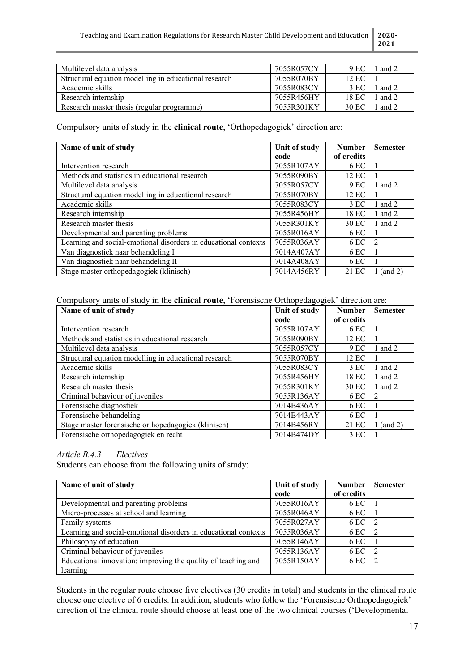| Multilevel data analysis                              | 7055R057CY | 9 EC  | and 2 |
|-------------------------------------------------------|------------|-------|-------|
| Structural equation modelling in educational research | 7055R070BY | 12 EC |       |
| Academic skills                                       | 7055R083CY | 3 EC  | and 2 |
| Research internship                                   | 7055R456HY | 18 EC | and 2 |
| Research master thesis (regular programme)            | 7055R301KY | 30 EC | and 2 |

Compulsory units of study in the **clinical route**, 'Orthopedagogiek' direction are:

| Name of unit of study                                           | Unit of study | <b>Number</b> | <b>Semester</b> |
|-----------------------------------------------------------------|---------------|---------------|-----------------|
|                                                                 | code          | of credits    |                 |
| Intervention research                                           | 7055R107AY    | 6 EC          |                 |
| Methods and statistics in educational research                  | 7055R090BY    | 12 EC         |                 |
| Multilevel data analysis                                        | 7055R057CY    | 9 EC          | 1 and 2         |
| Structural equation modelling in educational research           | 7055R070BY    | 12 EC         |                 |
| Academic skills                                                 | 7055R083CY    | 3 EC          | 1 and $2$       |
| Research internship                                             | 7055R456HY    | 18 EC         | 1 and $2$       |
| Research master thesis                                          | 7055R301KY    | 30 EC         | 1 and 2         |
| Developmental and parenting problems                            | 7055R016AY    | 6 EC          |                 |
| Learning and social-emotional disorders in educational contexts | 7055R036AY    | 6 EC          | $\mathfrak{D}$  |
| Van diagnostiek naar behandeling I                              | 7014A407AY    | 6 EC          |                 |
| Van diagnostiek naar behandeling II                             | 7014A408AY    | 6 EC          |                 |
| Stage master orthopedagogiek (klinisch)                         | 7014A456RY    | 21 EC         | (and 2)         |

Compulsory units of study in the **clinical route**, 'Forensische Orthopedagogiek' direction are:

| Name of unit of study                                 | Unit of study | <b>Number</b> | <b>Semester</b> |
|-------------------------------------------------------|---------------|---------------|-----------------|
|                                                       | code          | of credits    |                 |
| Intervention research                                 | 7055R107AY    | 6 EC          |                 |
| Methods and statistics in educational research        | 7055R090BY    | 12 EC         |                 |
| Multilevel data analysis                              | 7055R057CY    | 9 EC          | 1 and 2         |
| Structural equation modelling in educational research | 7055R070BY    | 12 EC         |                 |
| Academic skills                                       | 7055R083CY    | 3 EC          | 1 and $2$       |
| Research internship                                   | 7055R456HY    | 18 EC         | 1 and $2$       |
| Research master thesis                                | 7055R301KY    | 30 EC         | 1 and $2$       |
| Criminal behaviour of juveniles                       | 7055R136AY    | 6 EC          | $\mathfrak{D}$  |
| Forensische diagnostiek                               | 7014B436AY    | 6 EC          |                 |
| Forensische behandeling                               | 7014B443AY    | 6 EC          |                 |
| Stage master forensische orthopedagogiek (klinisch)   | 7014B456RY    | 21 EC         | $1$ (and $2$ )  |
| Forensische orthopedagogiek en recht                  | 7014B474DY    | 3 EC          |                 |

# *Article B.4.3 Electives*

Students can choose from the following units of study:

| Name of unit of study                                           | Unit of study | <b>Number</b> | <b>Semester</b> |
|-----------------------------------------------------------------|---------------|---------------|-----------------|
|                                                                 | code          | of credits    |                 |
| Developmental and parenting problems                            | 7055R016AY    | 6 EC          |                 |
| Micro-processes at school and learning                          | 7055R046AY    | 6 EC          |                 |
| Family systems                                                  | 7055R027AY    | 6 EC          |                 |
| Learning and social-emotional disorders in educational contexts | 7055R036AY    | 6 EC          |                 |
| Philosophy of education                                         | 7055R146AY    | 6 EC          |                 |
| Criminal behaviour of juveniles                                 | 7055R136AY    | 6 EC          |                 |
| Educational innovation: improving the quality of teaching and   | 7055R150AY    | 6 EC          |                 |
| learning                                                        |               |               |                 |

Students in the regular route choose five electives (30 credits in total) and students in the clinical route choose one elective of 6 credits. In addition, students who follow the 'Forensische Orthopedagogiek' direction of the clinical route should choose at least one of the two clinical courses ('Developmental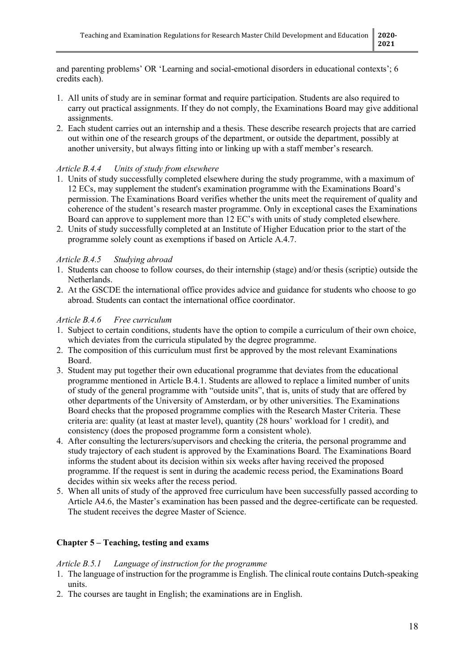and parenting problems' OR 'Learning and social-emotional disorders in educational contexts'; 6 credits each).

- 1. All units of study are in seminar format and require participation. Students are also required to carry out practical assignments. If they do not comply, the Examinations Board may give additional assignments.
- 2. Each student carries out an internship and a thesis. These describe research projects that are carried out within one of the research groups of the department, or outside the department, possibly at another university, but always fitting into or linking up with a staff member's research.

# *Article B.4.4 Units of study from elsewhere*

- 1. Units of study successfully completed elsewhere during the study programme, with a maximum of 12 ECs, may supplement the student's examination programme with the Examinations Board's permission. The Examinations Board verifies whether the units meet the requirement of quality and coherence of the student's research master programme. Only in exceptional cases the Examinations Board can approve to supplement more than 12 EC's with units of study completed elsewhere.
- 2. Units of study successfully completed at an Institute of Higher Education prior to the start of the programme solely count as exemptions if based on Article A.4.7.

# *Article B.4.5 Studying abroad*

- 1. Students can choose to follow courses, do their internship (stage) and/or thesis (scriptie) outside the Netherlands.
- 2. At the GSCDE the international office provides advice and guidance for students who choose to go abroad. Students can contact the international office coordinator.

# *Article B.4.6 Free curriculum*

- 1. Subject to certain conditions, students have the option to compile a curriculum of their own choice, which deviates from the curricula stipulated by the degree programme.
- 2. The composition of this curriculum must first be approved by the most relevant Examinations Board.
- 3. Student may put together their own educational programme that deviates from the educational programme mentioned in Article B.4.1. Students are allowed to replace a limited number of units of study of the general programme with "outside units", that is, units of study that are offered by other departments of the University of Amsterdam, or by other universities. The Examinations Board checks that the proposed programme complies with the Research Master Criteria. These criteria are: quality (at least at master level), quantity (28 hours' workload for 1 credit), and consistency (does the proposed programme form a consistent whole).
- 4. After consulting the lecturers/supervisors and checking the criteria, the personal programme and study trajectory of each student is approved by the Examinations Board. The Examinations Board informs the student about its decision within six weeks after having received the proposed programme. If the request is sent in during the academic recess period, the Examinations Board decides within six weeks after the recess period.
- 5. When all units of study of the approved free curriculum have been successfully passed according to Article A4.6, the Master's examination has been passed and the degree-certificate can be requested. The student receives the degree Master of Science.

# **Chapter 5 – Teaching, testing and exams**

# *Article B.5.1 Language of instruction for the programme*

- 1. The language of instruction for the programme is English. The clinical route contains Dutch-speaking units.
- 2. The courses are taught in English; the examinations are in English.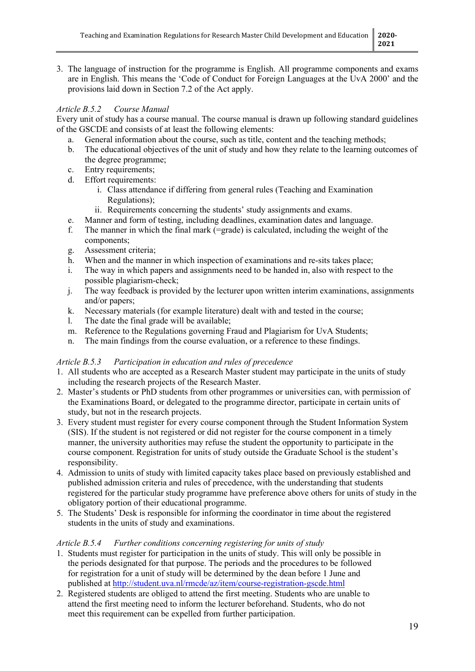3. The language of instruction for the programme is English. All programme components and exams are in English. This means the 'Code of Conduct for Foreign Languages at the UvA 2000' and the provisions laid down in Section 7.2 of the Act apply.

# *Article B.5.2 Course Manual*

Every unit of study has a course manual. The course manual is drawn up following standard guidelines of the GSCDE and consists of at least the following elements:

- a. General information about the course, such as title, content and the teaching methods;
- b. The educational objectives of the unit of study and how they relate to the learning outcomes of the degree programme;
- c. Entry requirements;
- d. Effort requirements:
	- i. Class attendance if differing from general rules (Teaching and Examination Regulations);
	- ii. Requirements concerning the students' study assignments and exams.
- e. Manner and form of testing, including deadlines, examination dates and language.
- f. The manner in which the final mark (=grade) is calculated, including the weight of the components;
- g. Assessment criteria;
- h. When and the manner in which inspection of examinations and re-sits takes place;
- i. The way in which papers and assignments need to be handed in, also with respect to the possible plagiarism-check;
- j. The way feedback is provided by the lecturer upon written interim examinations, assignments and/or papers;
- k. Necessary materials (for example literature) dealt with and tested in the course;
- l. The date the final grade will be available;
- m. Reference to the Regulations governing Fraud and Plagiarism for UvA Students;
- n. The main findings from the course evaluation, or a reference to these findings.

# *Article B.5.3 Participation in education and rules of precedence*

- 1. All students who are accepted as a Research Master student may participate in the units of study including the research projects of the Research Master.
- 2. Master's students or PhD students from other programmes or universities can, with permission of the Examinations Board, or delegated to the programme director, participate in certain units of study, but not in the research projects.
- 3. Every student must register for every course component through the Student Information System (SIS). If the student is not registered or did not register for the course component in a timely manner, the university authorities may refuse the student the opportunity to participate in the course component. Registration for units of study outside the Graduate School is the student's responsibility.
- 4. Admission to units of study with limited capacity takes place based on previously established and published admission criteria and rules of precedence, with the understanding that students registered for the particular study programme have preference above others for units of study in the obligatory portion of their educational programme.
- 5. The Students' Desk is responsible for informing the coordinator in time about the registered students in the units of study and examinations.

# *Article B.5.4 Further conditions concerning registering for units of study*

- 1. Students must register for participation in the units of study. This will only be possible in the periods designated for that purpose. The periods and the procedures to be followed for registration for a unit of study will be determined by the dean before 1 June and published at<http://student.uva.nl/rmcde/az/item/course-registration-gscde.html>
- 2. Registered students are obliged to attend the first meeting. Students who are unable to attend the first meeting need to inform the lecturer beforehand. Students, who do not meet this requirement can be expelled from further participation.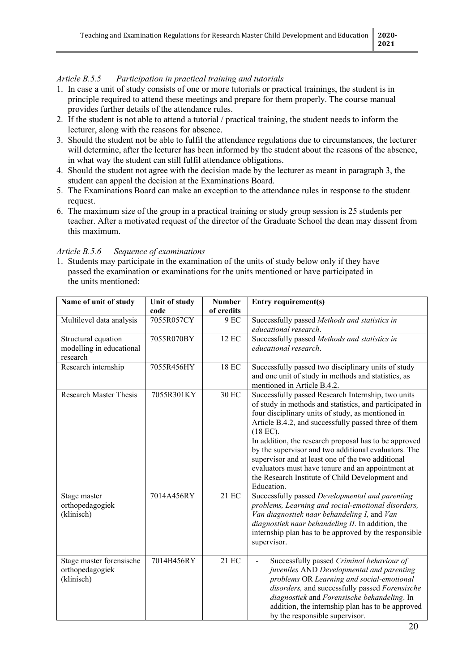# *Article B.5.5 Participation in practical training and tutorials*

- 1. In case a unit of study consists of one or more tutorials or practical trainings, the student is in principle required to attend these meetings and prepare for them properly. The course manual provides further details of the attendance rules.
- 2. If the student is not able to attend a tutorial / practical training, the student needs to inform the lecturer, along with the reasons for absence.
- 3. Should the student not be able to fulfil the attendance regulations due to circumstances, the lecturer will determine, after the lecturer has been informed by the student about the reasons of the absence, in what way the student can still fulfil attendance obligations.
- 4. Should the student not agree with the decision made by the lecturer as meant in paragraph 3, the student can appeal the decision at the Examinations Board.
- 5. The Examinations Board can make an exception to the attendance rules in response to the student request.
- 6. The maximum size of the group in a practical training or study group session is 25 students per teacher. After a motivated request of the director of the Graduate School the dean may dissent from this maximum.

# *Article B.5.6 Sequence of examinations*

1. Students may participate in the examination of the units of study below only if they have passed the examination or examinations for the units mentioned or have participated in the units mentioned:

| Name of unit of study         | Unit of study | <b>Number</b> | Entry requirement(s)                                                                                      |
|-------------------------------|---------------|---------------|-----------------------------------------------------------------------------------------------------------|
|                               | code          | of credits    |                                                                                                           |
| Multilevel data analysis      | 7055R057CY    | 9 EC          | Successfully passed Methods and statistics in                                                             |
|                               |               |               | educational research.                                                                                     |
| Structural equation           | 7055R070BY    | 12 EC         | Successfully passed Methods and statistics in                                                             |
| modelling in educational      |               |               | educational research.                                                                                     |
| research                      |               |               |                                                                                                           |
| Research internship           | 7055R456HY    | 18 EC         | Successfully passed two disciplinary units of study                                                       |
|                               |               |               | and one unit of study in methods and statistics, as                                                       |
|                               |               |               | mentioned in Article B.4.2.                                                                               |
| <b>Research Master Thesis</b> | 7055R301KY    | 30 EC         | Successfully passed Research Internship, two units                                                        |
|                               |               |               | of study in methods and statistics, and participated in                                                   |
|                               |               |               | four disciplinary units of study, as mentioned in                                                         |
|                               |               |               | Article B.4.2, and successfully passed three of them                                                      |
|                               |               |               | $(18$ EC).                                                                                                |
|                               |               |               | In addition, the research proposal has to be approved                                                     |
|                               |               |               | by the supervisor and two additional evaluators. The<br>supervisor and at least one of the two additional |
|                               |               |               | evaluators must have tenure and an appointment at                                                         |
|                               |               |               | the Research Institute of Child Development and                                                           |
|                               |               |               | Education.                                                                                                |
| Stage master                  | 7014A456RY    | 21 EC         | Successfully passed Developmental and parenting                                                           |
| orthopedagogiek               |               |               | problems, Learning and social-emotional disorders,                                                        |
| (klinisch)                    |               |               | Van diagnostiek naar behandeling I, and Van                                                               |
|                               |               |               | diagnostiek naar behandeling II. In addition, the                                                         |
|                               |               |               | internship plan has to be approved by the responsible                                                     |
|                               |               |               | supervisor.                                                                                               |
|                               |               |               |                                                                                                           |
| Stage master forensische      | 7014B456RY    | 21 EC         | Successfully passed Criminal behaviour of<br>$\overline{a}$                                               |
| orthopedagogiek               |               |               | juveniles AND Developmental and parenting                                                                 |
| (klinisch)                    |               |               | problems OR Learning and social-emotional                                                                 |
|                               |               |               | disorders, and successfully passed Forensische                                                            |
|                               |               |               | diagnostiek and Forensische behandeling. In                                                               |
|                               |               |               | addition, the internship plan has to be approved                                                          |
|                               |               |               | by the responsible supervisor.                                                                            |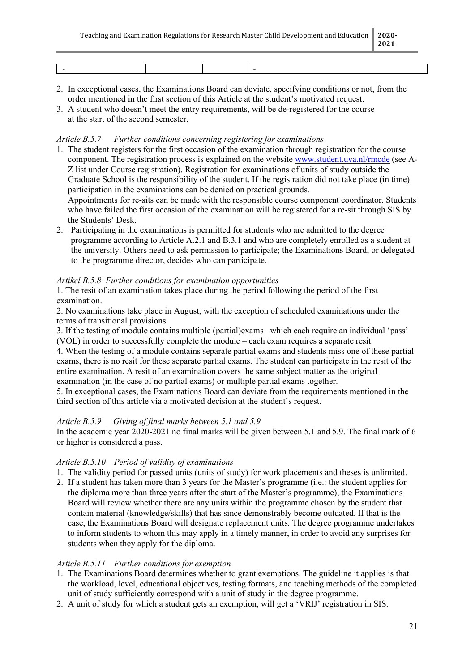- -

- 2. In exceptional cases, the Examinations Board can deviate, specifying conditions or not, from the order mentioned in the first section of this Article at the student's motivated request.
- 3. A student who doesn't meet the entry requirements, will be de-registered for the course at the start of the second semester.

# *Article B.5.7 Further conditions concerning registering for examinations*

1. The student registers for the first occasion of the examination through registration for the course component. The registration process is explained on the website [www.student.uva.nl/rmcde](http://www.student.uva.nl/rmcde) (see A-Z list under Course registration). Registration for examinations of units of study outside the Graduate School is the responsibility of the student. If the registration did not take place (in time) participation in the examinations can be denied on practical grounds.

Appointments for re-sits can be made with the responsible course component coordinator. Students who have failed the first occasion of the examination will be registered for a re-sit through SIS by the Students' Desk.

2. Participating in the examinations is permitted for students who are admitted to the degree programme according to Article A.2.1 and B.3.1 and who are completely enrolled as a student at the university. Others need to ask permission to participate; the Examinations Board, or delegated to the programme director, decides who can participate.

# *Artikel B.5.8 Further conditions for examination opportunities*

1. The resit of an examination takes place during the period following the period of the first examination.

2. No examinations take place in August, with the exception of scheduled examinations under the terms of transitional provisions.

3. If the testing of module contains multiple (partial)exams –which each require an individual 'pass' (VOL) in order to successfully complete the module – each exam requires a separate resit.

4. When the testing of a module contains separate partial exams and students miss one of these partial exams, there is no resit for these separate partial exams. The student can participate in the resit of the entire examination. A resit of an examination covers the same subject matter as the original examination (in the case of no partial exams) or multiple partial exams together.

5. In exceptional cases, the Examinations Board can deviate from the requirements mentioned in the third section of this article via a motivated decision at the student's request.

# *Article B.5.9 Giving of final marks between 5.1 and 5.9*

In the academic year 2020-2021 no final marks will be given between 5.1 and 5.9. The final mark of 6 or higher is considered a pass.

# *Article B.5.10 Period of validity of examinations*

1. The validity period for passed units (units of study) for work placements and theses is unlimited.

2. If a student has taken more than 3 years for the Master's programme (i.e.: the student applies for the diploma more than three years after the start of the Master's programme), the Examinations Board will review whether there are any units within the programme chosen by the student that contain material (knowledge/skills) that has since demonstrably become outdated. If that is the case, the Examinations Board will designate replacement units. The degree programme undertakes to inform students to whom this may apply in a timely manner, in order to avoid any surprises for students when they apply for the diploma.

# *Article B.5.11 Further conditions for exemption*

- 1. The Examinations Board determines whether to grant exemptions. The guideline it applies is that the workload, level, educational objectives, testing formats, and teaching methods of the completed unit of study sufficiently correspond with a unit of study in the degree programme.
- 2. A unit of study for which a student gets an exemption, will get a 'VRIJ' registration in SIS.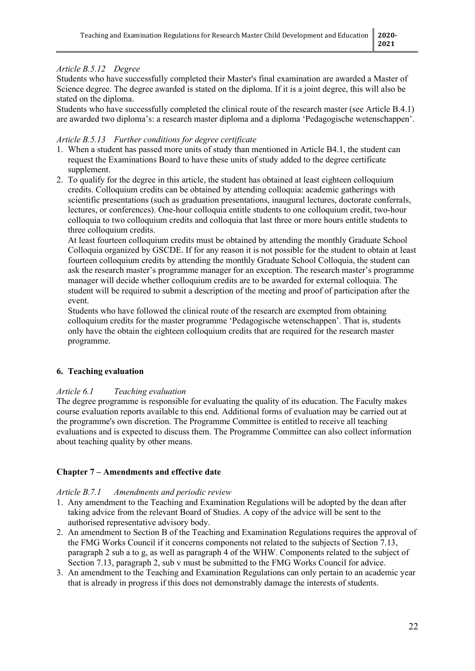# *Article B.5.12 Degree*

Students who have successfully completed their Master's final examination are awarded a Master of Science degree. The degree awarded is stated on the diploma. If it is a joint degree, this will also be stated on the diploma.

Students who have successfully completed the clinical route of the research master (see Article B.4.1) are awarded two diploma's: a research master diploma and a diploma 'Pedagogische wetenschappen'.

# *Article B.5.13 Further conditions for degree certificate*

- 1. When a student has passed more units of study than mentioned in Article B4.1, the student can request the Examinations Board to have these units of study added to the degree certificate supplement.
- 2. To qualify for the degree in this article, the student has obtained at least eighteen colloquium credits. Colloquium credits can be obtained by attending colloquia: academic gatherings with scientific presentations (such as graduation presentations, inaugural lectures, doctorate conferrals, lectures, or conferences). One-hour colloquia entitle students to one colloquium credit, two-hour colloquia to two colloquium credits and colloquia that last three or more hours entitle students to three colloquium credits.

At least fourteen colloquium credits must be obtained by attending the monthly Graduate School Colloquia organized by GSCDE. If for any reason it is not possible for the student to obtain at least fourteen colloquium credits by attending the monthly Graduate School Colloquia, the student can ask the research master's programme manager for an exception. The research master's programme manager will decide whether colloquium credits are to be awarded for external colloquia. The student will be required to submit a description of the meeting and proof of participation after the event.

Students who have followed the clinical route of the research are exempted from obtaining colloquium credits for the master programme 'Pedagogische wetenschappen'. That is, students only have the obtain the eighteen colloquium credits that are required for the research master programme.

# **6. Teaching evaluation**

# *Article 6.1 Teaching evaluation*

The degree programme is responsible for evaluating the quality of its education. The Faculty makes course evaluation reports available to this end. Additional forms of evaluation may be carried out at the programme's own discretion. The Programme Committee is entitled to receive all teaching evaluations and is expected to discuss them. The Programme Committee can also collect information about teaching quality by other means.

# **Chapter 7 – Amendments and effective date**

# *Article B.7.1 Amendments and periodic review*

- 1. Any amendment to the Teaching and Examination Regulations will be adopted by the dean after taking advice from the relevant Board of Studies. A copy of the advice will be sent to the authorised representative advisory body.
- 2. An amendment to Section B of the Teaching and Examination Regulations requires the approval of the FMG Works Council if it concerns components not related to the subjects of Section 7.13, paragraph 2 sub a to g, as well as paragraph 4 of the WHW. Components related to the subject of Section 7.13, paragraph 2, sub v must be submitted to the FMG Works Council for advice.
- 3. An amendment to the Teaching and Examination Regulations can only pertain to an academic year that is already in progress if this does not demonstrably damage the interests of students.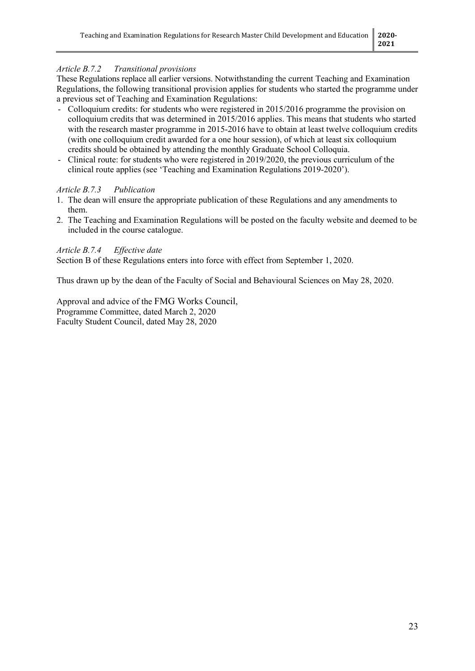# *Article B.7.2 Transitional provisions*

These Regulations replace all earlier versions. Notwithstanding the current Teaching and Examination Regulations, the following transitional provision applies for students who started the programme under a previous set of Teaching and Examination Regulations:

- Colloquium credits: for students who were registered in 2015/2016 programme the provision on colloquium credits that was determined in 2015/2016 applies. This means that students who started with the research master programme in 2015-2016 have to obtain at least twelve colloquium credits (with one colloquium credit awarded for a one hour session), of which at least six colloquium credits should be obtained by attending the monthly Graduate School Colloquia.
- Clinical route: for students who were registered in 2019/2020, the previous curriculum of the clinical route applies (see 'Teaching and Examination Regulations 2019-2020').

# *Article B.7.3 Publication*

- 1. The dean will ensure the appropriate publication of these Regulations and any amendments to them.
- 2. The Teaching and Examination Regulations will be posted on the faculty website and deemed to be included in the course catalogue.

# *Article B.7.4 Effective date*

Section B of these Regulations enters into force with effect from September 1, 2020.

Thus drawn up by the dean of the Faculty of Social and Behavioural Sciences on May 28, 2020.

Approval and advice of the FMG Works Council, Programme Committee, dated March 2, 2020 Faculty Student Council, dated May 28, 2020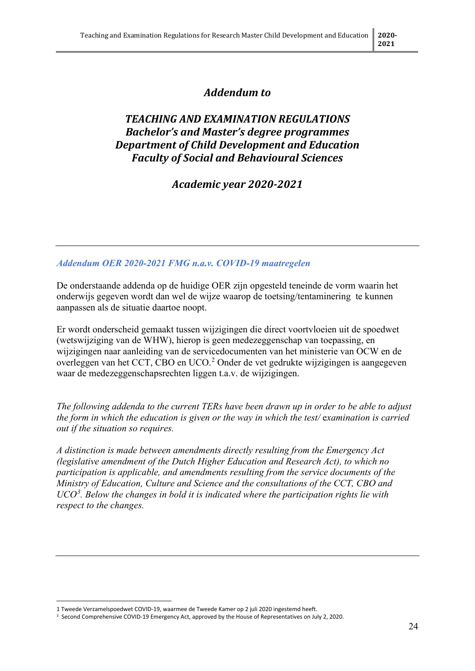# *Addendum to*

# *TEACHING AND EXAMINATION REGULATIONS Bachelor's and Master's degree programmes Department of Child Development and Education Faculty of Social and Behavioural Sciences*

*Academic year 2020-2021*

*Addendum OER 2020-2021 FMG n.a.v. COVID-19 maatregelen*

De onderstaande addenda op de huidige OER zijn opgesteld teneinde de vorm waarin het onderwijs gegeven wordt dan wel de wijze waarop de toetsing/tentaminering te kunnen aanpassen als de situatie daartoe noopt.

Er wordt onderscheid gemaakt tussen wijzigingen die direct voortvloeien uit de spoedwet (wetswijziging van de WHW), hierop is geen medezeggenschap van toepassing, en wijzigingen naar aanleiding van de servicedocumenten van het ministerie van OCW en de overleggen van het CCT, CBO en UCO.[2](#page-24-0) Onder de vet gedrukte wijzigingen is aangegeven waar de medezeggenschapsrechten liggen t.a.v. de wijzigingen.

*The following addenda to the current TERs have been drawn up in order to be able to adjust the form in which the education is given or the way in which the test/* e*xamination is carried out if the situation so requires.* 

*A distinction is made between amendments directly resulting from the Emergency Act (legislative amendment of the Dutch Higher Education and Research Act), to which no participation is applicable, and amendments resulting from the service documents of the Ministry of Education, Culture and Science and the consultations of the CCT, CBO and UCO[3](#page-24-1) . Below the changes in bold it is indicated where the participation rights lie with respect to the changes.*

<span id="page-24-0"></span><sup>1</sup> Tweede Verzamelspoedwet COVID-19, waarmee de Tweede Kamer op 2 juli 2020 ingestemd heeft.<br><sup>3</sup> Second Comprehensive COVID-19 Emergency Act, approved by the House of Representatives on July 2, 2020.

<span id="page-24-1"></span>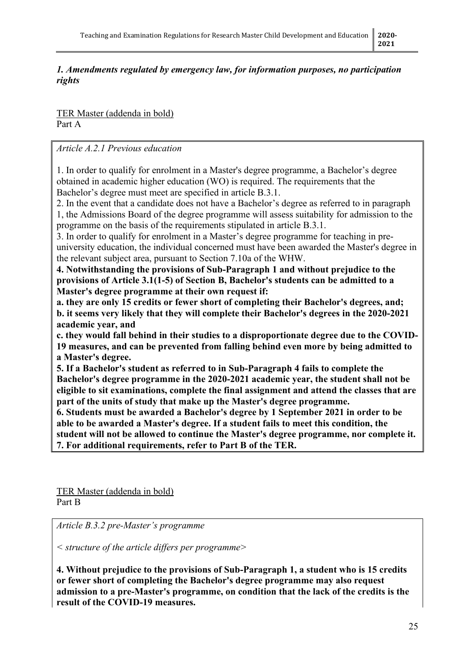# *1. Amendments regulated by emergency law, for information purposes, no participation rights*

TER Master (addenda in bold) Part A

# *Article A.2.1 Previous education*

1. In order to qualify for enrolment in a Master's degree programme, a Bachelor's degree obtained in academic higher education (WO) is required. The requirements that the Bachelor's degree must meet are specified in article B.3.1.

2. In the event that a candidate does not have a Bachelor's degree as referred to in paragraph 1, the Admissions Board of the degree programme will assess suitability for admission to the programme on the basis of the requirements stipulated in article B.3.1.

3. In order to qualify for enrolment in a Master's degree programme for teaching in preuniversity education, the individual concerned must have been awarded the Master's degree in the relevant subject area, pursuant to Section 7.10a of the WHW.

**4. Notwithstanding the provisions of Sub-Paragraph 1 and without prejudice to the provisions of Article 3.1(1-5) of Section B, Bachelor's students can be admitted to a Master's degree programme at their own request if:** 

**a. they are only 15 credits or fewer short of completing their Bachelor's degrees, and; b. it seems very likely that they will complete their Bachelor's degrees in the 2020-2021 academic year, and** 

**c. they would fall behind in their studies to a disproportionate degree due to the COVID-19 measures, and can be prevented from falling behind even more by being admitted to a Master's degree.**

**5. If a Bachelor's student as referred to in Sub-Paragraph 4 fails to complete the Bachelor's degree programme in the 2020-2021 academic year, the student shall not be eligible to sit examinations, complete the final assignment and attend the classes that are part of the units of study that make up the Master's degree programme.**

**6. Students must be awarded a Bachelor's degree by 1 September 2021 in order to be able to be awarded a Master's degree. If a student fails to meet this condition, the student will not be allowed to continue the Master's degree programme, nor complete it. 7. For additional requirements, refer to Part B of the TER.**

TER Master (addenda in bold) Part B

*Article B.3.2 pre-Master's programme*

*< structure of the article differs per programme>*

**4. Without prejudice to the provisions of Sub-Paragraph 1, a student who is 15 credits or fewer short of completing the Bachelor's degree programme may also request admission to a pre-Master's programme, on condition that the lack of the credits is the result of the COVID-19 measures.**